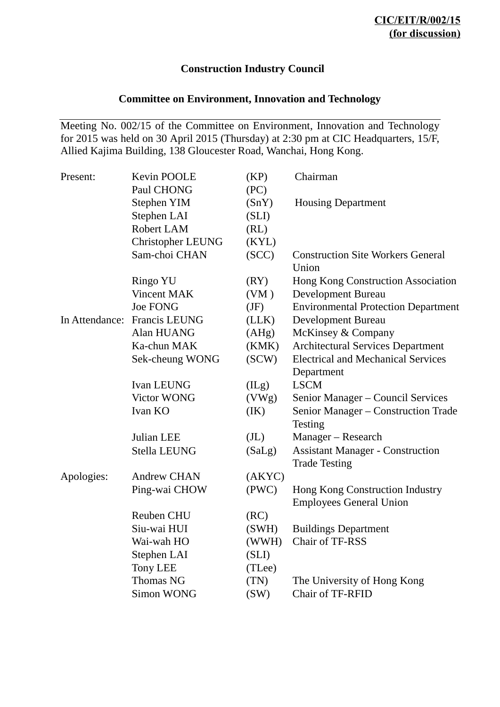# **Construction Industry Council**

# **Committee on Environment, Innovation and Technology**

Meeting No. 002/15 of the Committee on Environment, Innovation and Technology for 2015 was held on 30 April 2015 (Thursday) at 2:30 pm at CIC Headquarters, 15/F, Allied Kajima Building, 138 Gloucester Road, Wanchai, Hong Kong.

| Present:       | Kevin POOLE              | (KP)   | Chairman                                                          |
|----------------|--------------------------|--------|-------------------------------------------------------------------|
|                | Paul CHONG               | (PC)   |                                                                   |
|                | Stephen YIM              | (SnY)  | <b>Housing Department</b>                                         |
|                | Stephen LAI              | (SLI)  |                                                                   |
|                | Robert LAM               | (RL)   |                                                                   |
|                | <b>Christopher LEUNG</b> | (KYL)  |                                                                   |
|                | Sam-choi CHAN            | (SCC)  | <b>Construction Site Workers General</b><br>Union                 |
|                | Ringo YU                 | (RY)   | Hong Kong Construction Association                                |
|                | Vincent MAK              | (VM)   | Development Bureau                                                |
|                | Joe FONG                 | (JF)   | <b>Environmental Protection Department</b>                        |
| In Attendance: | Francis LEUNG            | (LLK)  | <b>Development Bureau</b>                                         |
|                | Alan HUANG               | (AHg)  | McKinsey & Company                                                |
|                | Ka-chun MAK              | (KMK)  | <b>Architectural Services Department</b>                          |
|                | Sek-cheung WONG          | SCW)   | <b>Electrical and Mechanical Services</b><br>Department           |
|                | Ivan LEUNG               | (ILg)  | <b>LSCM</b>                                                       |
|                | Victor WONG              | (VWg)  | Senior Manager - Council Services                                 |
|                | Ivan KO                  | (IK)   | Senior Manager - Construction Trade<br>Testing                    |
|                | <b>Julian LEE</b>        | (JL)   | Manager – Research                                                |
|                | Stella LEUNG             | (SaLg) | <b>Assistant Manager - Construction</b><br><b>Trade Testing</b>   |
| Apologies:     | <b>Andrew CHAN</b>       | (AKYC) |                                                                   |
|                | Ping-wai CHOW            | (PWC)  | Hong Kong Construction Industry<br><b>Employees General Union</b> |
|                | Reuben CHU               | (RC)   |                                                                   |
|                | Siu-wai HUI              | (SWH)  | <b>Buildings Department</b>                                       |
|                | Wai-wah HO               | (WWH)  | Chair of TF-RSS                                                   |
|                | Stephen LAI              | (SLI)  |                                                                   |
|                | <b>Tony LEE</b>          | (TLee) |                                                                   |
|                | <b>Thomas NG</b>         | (TN)   | The University of Hong Kong                                       |
|                | Simon WONG               | (SW)   | Chair of TF-RFID                                                  |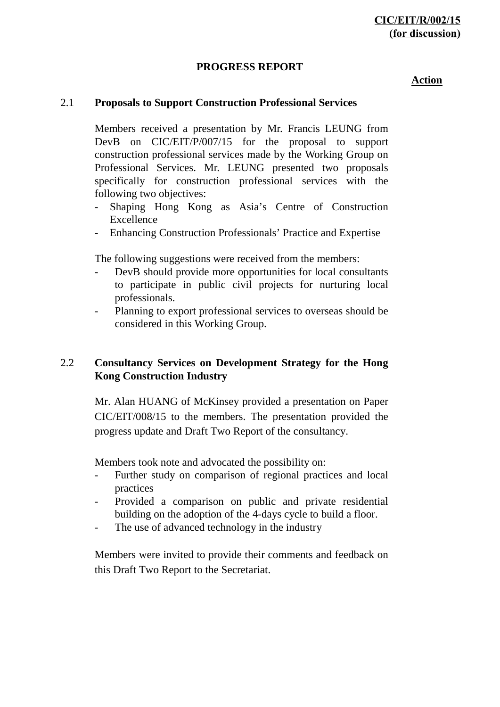### **PROGRESS REPORT**

#### **Action**

#### 2.1 **Proposals to Support Construction Professional Services**

Members received a presentation by Mr. Francis LEUNG from DevB on CIC/EIT/P/007/15 for the proposal to support construction professional services made by the Working Group on Professional Services. Mr. LEUNG presented two proposals specifically for construction professional services with the following two objectives:

- Shaping Hong Kong as Asia's Centre of Construction Excellence
- Enhancing Construction Professionals' Practice and Expertise

The following suggestions were received from the members:

- DevB should provide more opportunities for local consultants to participate in public civil projects for nurturing local professionals.
- Planning to export professional services to overseas should be considered in this Working Group.

## 2.2 **Consultancy Services on Development Strategy for the Hong Kong Construction Industry**

Mr. Alan HUANG of McKinsey provided a presentation on Paper CIC/EIT/008/15 to the members. The presentation provided the progress update and Draft Two Report of the consultancy.

Members took note and advocated the possibility on:

- Further study on comparison of regional practices and local practices
- Provided a comparison on public and private residential building on the adoption of the 4-days cycle to build a floor.
- The use of advanced technology in the industry

Members were invited to provide their comments and feedback on this Draft Two Report to the Secretariat.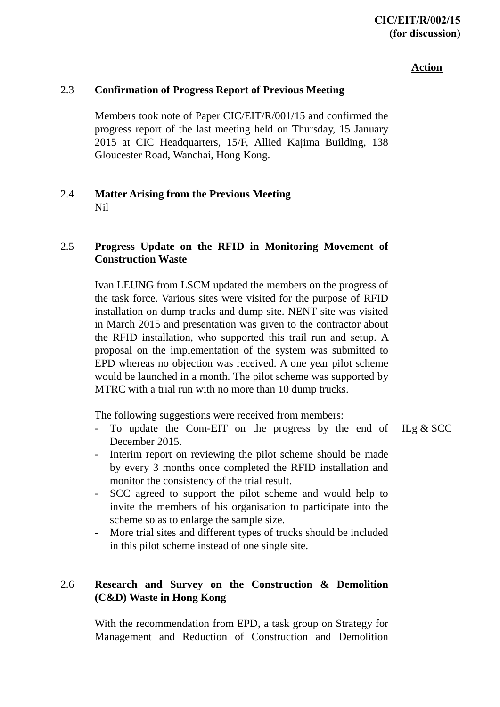# **CIC/EIT/R/002/15 (for discussion)**

#### **Action**

### 2.3 **Confirmation of Progress Report of Previous Meeting**

Members took note of Paper CIC/EIT/R/001/15 and confirmed the progress report of the last meeting held on Thursday, 15 January 2015 at CIC Headquarters, 15/F, Allied Kajima Building, 138 Gloucester Road, Wanchai, Hong Kong.

### 2.4 **Matter Arising from the Previous Meeting** Nil

### 2.5 **Progress Update on the RFID in Monitoring Movement of Construction Waste**

Ivan LEUNG from LSCM updated the members on the progress of the task force. Various sites were visited for the purpose of RFID installation on dump trucks and dump site. NENT site was visited in March 2015 and presentation was given to the contractor about the RFID installation, who supported this trail run and setup. A proposal on the implementation of the system was submitted to EPD whereas no objection was received. A one year pilot scheme would be launched in a month. The pilot scheme was supported by MTRC with a trial run with no more than 10 dump trucks.

The following suggestions were received from members:

- To update the Com-EIT on the progress by the end of December 2015.
- Interim report on reviewing the pilot scheme should be made by every 3 months once completed the RFID installation and monitor the consistency of the trial result.
- SCC agreed to support the pilot scheme and would help to invite the members of his organisation to participate into the scheme so as to enlarge the sample size.
- More trial sites and different types of trucks should be included in this pilot scheme instead of one single site.

## 2.6 **Research and Survey on the Construction & Demolition (C&D) Waste in Hong Kong**

With the recommendation from EPD, a task group on Strategy for Management and Reduction of Construction and Demolition ILg & SCC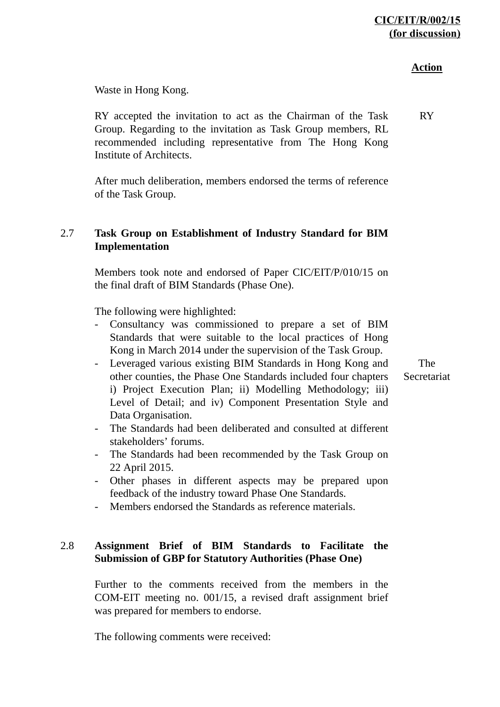### **Action**

Waste in Hong Kong.

RY accepted the invitation to act as the Chairman of the Task Group. Regarding to the invitation as Task Group members, RL recommended including representative from The Hong Kong Institute of Architects. RY

After much deliberation, members endorsed the terms of reference of the Task Group.

# 2.7 **Task Group on Establishment of Industry Standard for BIM Implementation**

Members took note and endorsed of Paper CIC/EIT/P/010/15 on the final draft of BIM Standards (Phase One).

The following were highlighted:

- Consultancy was commissioned to prepare a set of BIM Standards that were suitable to the local practices of Hong Kong in March 2014 under the supervision of the Task Group.
- Leveraged various existing BIM Standards in Hong Kong and other counties, the Phase One Standards included four chapters i) Project Execution Plan; ii) Modelling Methodology; iii) Level of Detail; and iv) Component Presentation Style and Data Organisation.

The Secretariat

- The Standards had been deliberated and consulted at different stakeholders' forums.
- The Standards had been recommended by the Task Group on 22 April 2015.
- Other phases in different aspects may be prepared upon feedback of the industry toward Phase One Standards.
- Members endorsed the Standards as reference materials.

# 2.8 **Assignment Brief of BIM Standards to Facilitate the Submission of GBP for Statutory Authorities (Phase One)**

Further to the comments received from the members in the COM-EIT meeting no. 001/15, a revised draft assignment brief was prepared for members to endorse.

The following comments were received: